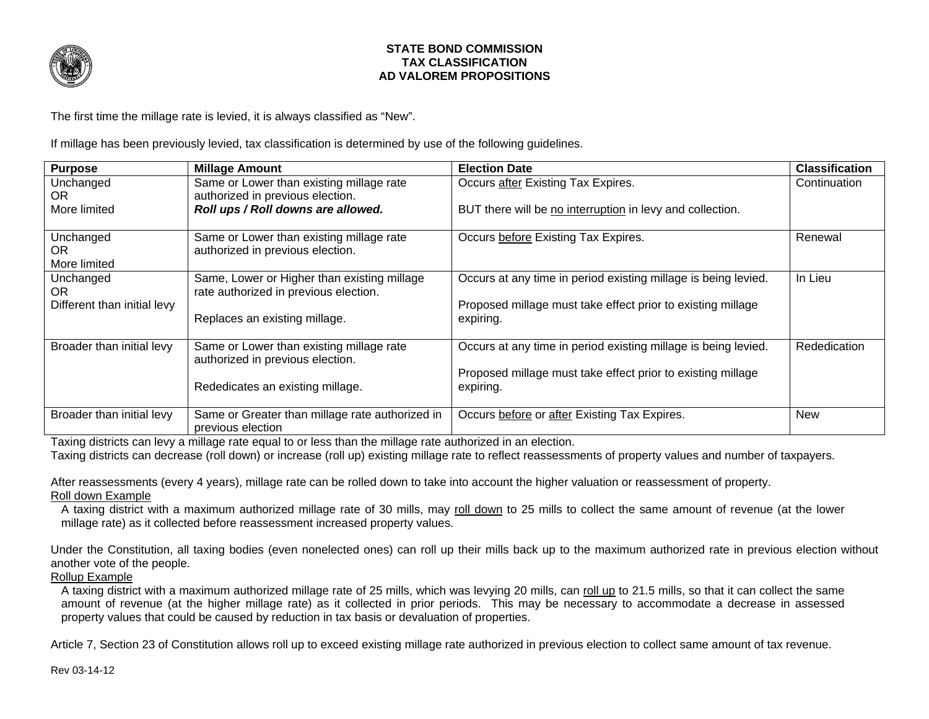

## **STATE BOND COMMISSION TAX CLASSIFICATION AD VALOREM PROPOSITIONS**

The first time the millage rate is levied, it is always classified as "New".

If millage has been previously levied, tax classification is determined by use of the following guidelines.

| <b>Purpose</b>              | <b>Millage Amount</b>                                                        | <b>Election Date</b>                                           | <b>Classification</b> |
|-----------------------------|------------------------------------------------------------------------------|----------------------------------------------------------------|-----------------------|
| Unchanged                   | Same or Lower than existing millage rate                                     | Occurs after Existing Tax Expires.                             | Continuation          |
| OR.                         | authorized in previous election.                                             |                                                                |                       |
| More limited                | Roll ups / Roll downs are allowed.                                           | BUT there will be no interruption in levy and collection.      |                       |
|                             |                                                                              |                                                                |                       |
| Unchanged                   | Same or Lower than existing millage rate                                     | Occurs before Existing Tax Expires.                            | Renewal               |
| <b>OR</b>                   | authorized in previous election.                                             |                                                                |                       |
| More limited                |                                                                              |                                                                |                       |
| Unchanged                   | Same, Lower or Higher than existing millage                                  | Occurs at any time in period existing millage is being levied. | In Lieu               |
| OR.                         | rate authorized in previous election.                                        |                                                                |                       |
| Different than initial levy |                                                                              | Proposed millage must take effect prior to existing millage    |                       |
|                             | Replaces an existing millage.                                                | expiring.                                                      |                       |
|                             |                                                                              |                                                                |                       |
| Broader than initial levy   | Same or Lower than existing millage rate<br>authorized in previous election. | Occurs at any time in period existing millage is being levied. | Rededication          |
|                             |                                                                              | Proposed millage must take effect prior to existing millage    |                       |
|                             | Rededicates an existing millage.                                             | expiring.                                                      |                       |
|                             |                                                                              |                                                                |                       |
| Broader than initial levy   | Same or Greater than millage rate authorized in                              | Occurs before or after Existing Tax Expires.                   | <b>New</b>            |
|                             | previous election                                                            |                                                                |                       |

Taxing districts can levy a millage rate equal to or less than the millage rate authorized in an election.

Taxing districts can decrease (roll down) or increase (roll up) existing millage rate to reflect reassessments of property values and number of taxpayers.

After reassessments (every 4 years), millage rate can be rolled down to take into account the higher valuation or reassessment of property. Roll down Example

A taxing district with a maximum authorized millage rate of 30 mills, may roll down to 25 mills to collect the same amount of revenue (at the lower millage rate) as it collected before reassessment increased property values.

Under the Constitution, all taxing bodies (even nonelected ones) can roll up their mills back up to the maximum authorized rate in previous election without another vote of the people.

Rollup Example

A taxing district with a maximum authorized millage rate of 25 mills, which was levying 20 mills, can roll up to 21.5 mills, so that it can collect the same amount of revenue (at the higher millage rate) as it collected in prior periods. This may be necessary to accommodate a decrease in assessed property values that could be caused by reduction in tax basis or devaluation of properties.

Article 7, Section 23 of Constitution allows roll up to exceed existing millage rate authorized in previous election to collect same amount of tax revenue.

Rev 03-14-12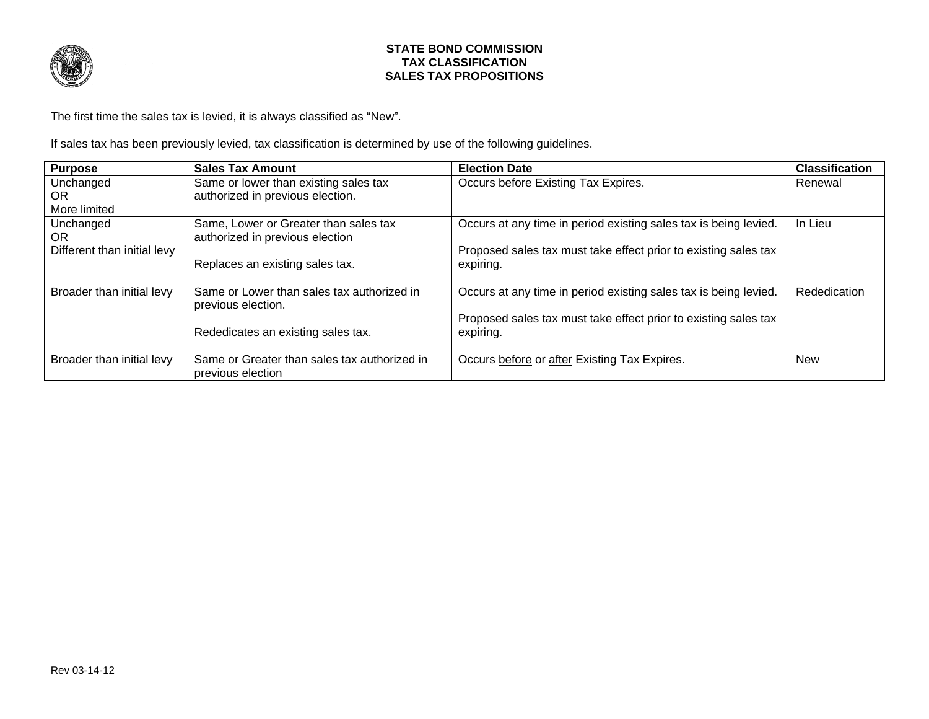

## **STATE BOND COMMISSION TAX CLASSIFICATION SALES TAX PROPOSITIONS**

The first time the sales tax is levied, it is always classified as "New".

If sales tax has been previously levied, tax classification is determined by use of the following guidelines.

| <b>Purpose</b>              | <b>Sales Tax Amount</b>                                           | <b>Election Date</b>                                             | <b>Classification</b> |
|-----------------------------|-------------------------------------------------------------------|------------------------------------------------------------------|-----------------------|
| Unchanged                   | Same or lower than existing sales tax                             | Occurs before Existing Tax Expires.                              | Renewal               |
| OR.                         | authorized in previous election.                                  |                                                                  |                       |
| More limited                |                                                                   |                                                                  |                       |
| Unchanged                   | Same, Lower or Greater than sales tax                             | Occurs at any time in period existing sales tax is being levied. | In Lieu               |
| OR.                         | authorized in previous election                                   |                                                                  |                       |
| Different than initial levy |                                                                   | Proposed sales tax must take effect prior to existing sales tax  |                       |
|                             | Replaces an existing sales tax.                                   | expiring.                                                        |                       |
|                             |                                                                   |                                                                  |                       |
| Broader than initial levy   | Same or Lower than sales tax authorized in<br>previous election.  | Occurs at any time in period existing sales tax is being levied. | Rededication          |
|                             |                                                                   | Proposed sales tax must take effect prior to existing sales tax  |                       |
|                             | Rededicates an existing sales tax.                                | expiring.                                                        |                       |
|                             |                                                                   |                                                                  |                       |
| Broader than initial levy   | Same or Greater than sales tax authorized in<br>previous election | Occurs before or after Existing Tax Expires.                     | <b>New</b>            |
|                             |                                                                   |                                                                  |                       |